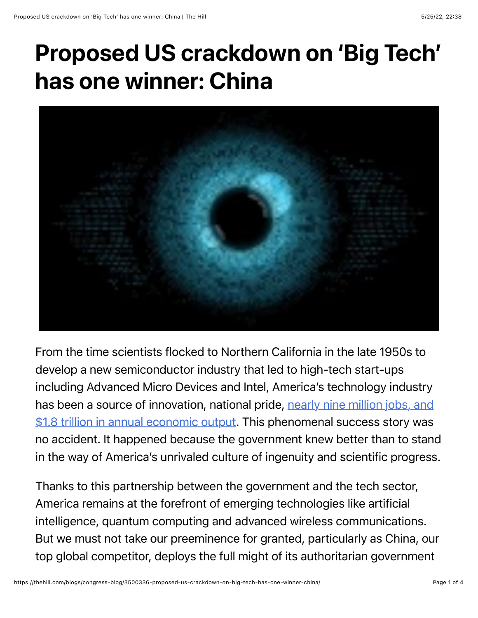## Proposed US crackdown on 'Big Tech' has one winner: China



From the time scientists flocked to Northern California in the late 1950s to develop a new semiconductor industry that led to high-tech start-ups including Advanced Micro Devices and Intel, America's technology industry [has been a source of innovation, national pride, nearly nine million jobs, and](https://www.cyberstates.org/) \$1.8 trillion in annual economic output. This phenomenal success story was no accident. It happened because the government knew better than to stand in the way of America's unrivaled culture of ingenuity and scientific progress.

Thanks to this partnership between the government and the tech sector, America remains at the forefront of emerging technologies like artificial intelligence, quantum computing and advanced wireless communications. But we must not take our preeminence for granted, particularly as China, our top global competitor, deploys the full might of its authoritarian government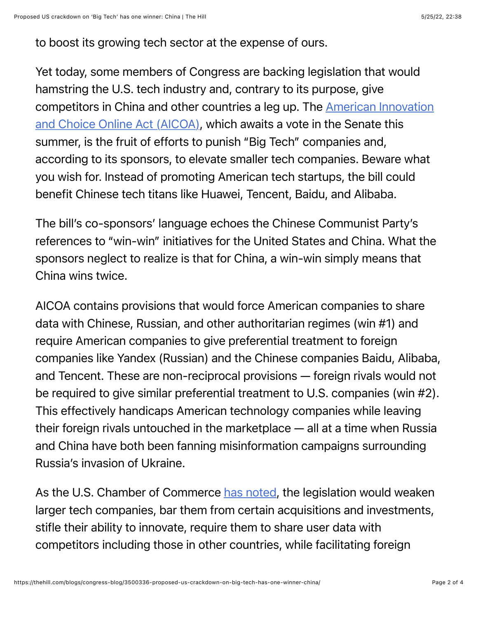to boost its growing tech sector at the expense of ours.

Yet today, some members of Congress are backing legislation that would hamstring the U.S. tech industry and, contrary to its purpose, give [competitors in China and other countries a leg up. The American Innovation](https://www.congress.gov/bill/117th-congress/senate-bill/2992/actions) and Choice Online Act (AICOA), which awaits a vote in the Senate this summer, is the fruit of efforts to punish "Big Tech" companies and, according to its sponsors, to elevate smaller tech companies. Beware what you wish for. Instead of promoting American tech startups, the bill could benefit Chinese tech titans like Huawei, Tencent, Baidu, and Alibaba.

The bill's co-sponsors' language echoes the Chinese Communist Party's references to "win-win" initiatives for the United States and China. What the sponsors neglect to realize is that for China, a win-win simply means that China wins twice.

AICOA contains provisions that would force American companies to share data with Chinese, Russian, and other authoritarian regimes (win #1) and require American companies to give preferential treatment to foreign companies like Yandex (Russian) and the Chinese companies Baidu, Alibaba, and Tencent. These are non-reciprocal provisions — foreign rivals would not be required to give similar preferential treatment to U.S. companies (win #2). This effectively handicaps American technology companies while leaving their foreign rivals untouched in the marketplace — all at a time when Russia and China have both been fanning misinformation campaigns surrounding Russia's invasion of Ukraine.   

As the U.S. Chamber of Commerce [has noted](https://www.uschamber.com/finance/antitrust/u-s-antitrust-legislative-proposals-a-global-perspective#:~:text=This%20report%20cautions%20against%20current,to%20U.S.%20consumers%20and%20workers.), the legislation would weaken larger tech companies, bar them from certain acquisitions and investments, stifle their ability to innovate, require them to share user data with competitors including those in other countries, while facilitating foreign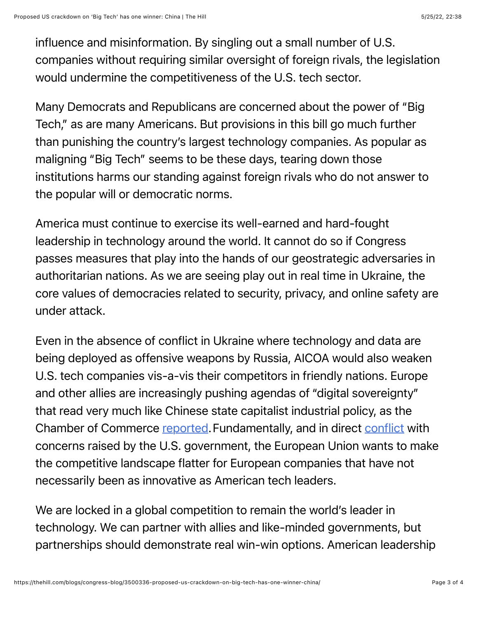influence and misinformation. By singling out a small number of U.S. companies without requiring similar oversight of foreign rivals, the legislation would undermine the competitiveness of the U.S. tech sector.

Many Democrats and Republicans are concerned about the power of "Big Tech," as are many Americans. But provisions in this bill go much further than punishing the country's largest technology companies. As popular as maligning "Big Tech" seems to be these days, tearing down those institutions harms our standing against foreign rivals who do not answer to the popular will or democratic norms.

America must continue to exercise its well-earned and hard-fought leadership in technology around the world. It cannot do so if Congress passes measures that play into the hands of our geostrategic adversaries in authoritarian nations. As we are seeing play out in real time in Ukraine, the core values of democracies related to security, privacy, and online safety are under attack.

Even in the absence of conflict in Ukraine where technology and data are being deployed as offensive weapons by Russia, AICOA would also weaken U.S. tech companies vis-a-vis their competitors in friendly nations. Europe and other allies are increasingly pushing agendas of "digital sovereignty" that read very much like Chinese state capitalist industrial policy, as the Chamber of Commerce [reported.](https://www.uschamber.com/finance/antitrust/u-s-antitrust-legislative-proposals-a-global-perspective) Fundamentally, and in direct [conflict](https://twitter.com/ProgressChamber/status/1468647693182550024?s=20) with concerns raised by the U.S. government, the European Union wants to make the competitive landscape flatter for European companies that have not necessarily been as innovative as American tech leaders.

We are locked in a global competition to remain the world's leader in technology. We can partner with allies and like-minded governments, but partnerships should demonstrate real win-win options. American leadership